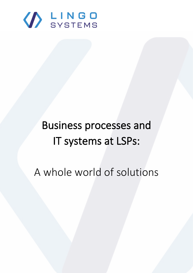

# Business processes and IT systems at LSPs:

A whole world of solutions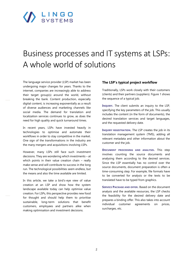# SYSTEMS

# Business processes and IT systems at LSPs: A whole world of solutions

The language service provider (LSP) market has been undergoing major changes for years. Thanks to the internet, companies are increasingly able to address their target group(s) around the world, without breaking the bank. Content production, especially digital content, is increasing exponentially as a result of diverse audiences and marketing channels like social media. The demand for translation and localization services continues to grow, as does the need for high quality and quick turnaround times.

In recent years, LSPs have invested heavily in technologies to optimise and automate their workflows in order to stay competitive in the market. One sign of the transformations in the industry are the many mergers and acquisitions involving LSPs.

However, many LSPs still face such investment decisions. They are wondering which investments – at which points in their value creation chain - really make sense and will contribute to success in the long run. The technological possibilities seem endless, but the means and also the time available are limited.

In this article, we take a bird's-eye view of value creation at an LSP and show how the system landscape available today can help optimise value creation. For LSPs, this perspective provides new food for thought and should help them to prioritise sustainable, long-term solutions that benefit customers, employees and partners alike when making optimisation and investment decisions.

#### **The LSP's typical project workflow**

Traditionally, LSPs work closely with their customers (clients) and their partners (suppliers). Figure 1 shows the sequence of a typical job.

**INQUIRY.** The client submits an inquiry to the LSP, specifying the key parameters of the job. This usually includes the content (in the form of documents), the desired translation services and target languages, and the requested delivery date.

**INQUIRY REGISTRATION.** The LSP creates the job in its translation management system (TMS), adding all relevant metadata and other information about the customer and the job.

**DOCUMENT PROCESSING AND ANALYSIS.** This step involves counting the source documents and analysing them according to the desired services. Since the LSP essentially has no control over the source documents, document preparation is often a time-consuming step. For example, file formats have to be converted for analysis or the texts to be translated have to be typed from graphics.

**SERVICE PACKAGE AND OFFER.** Based on the document analysis and the available resources, the LSP checks the feasibility for the desired delivery date and prepares a binding offer. This also takes into account individual customer agreements on prices, surcharges, etc.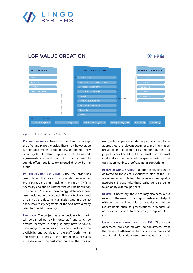

### **LSP VALUE CREATION**





#### Figure 1: Value creation at the LSP

**PLACING THE ORDER.** Normally, the client will accept the offer and place the order. There may, however, be further adjustments to the inquiry, triggering a new offer cycle. It also happens that framework agreements exist and the LSP is not required to submit offers, but is commissioned directly by the client.

**PRE-TRANSLATION (MT/TM).** Once the order has been placed, the project manager decides whether pre-translation using machine translation (MT) is necessary and checks whether the correct translation memories (TMs) and terminology databases have been included in the project. TMs are typically used as early as the document analysis stage in order to check how many segments of the text have already been translated previously.

**EXECUTION.** The project manager decides which tasks will be carried out by in-house staff and which by external partners. In doing so, they have to take a wide range of variables into account, including the availability and workload of the staff (both internal and external), expertise in the relevant field, the staff's experience with the customer, but also the costs of

using external partners. External partners need to be approached, the relevant documents and information provided, and all of the tasks and contributors to a project coordinated. The internal or external contributors then carry out the specific tasks such as translation, editing, proofreading or copywriting.

**REVIEW & QUALITY CHECK.** Before the results can be delivered to the client, experienced staff at the LSP are often responsible for internal reviews and quality assurance. Increasingly, these tasks are also being taken on by external partners.

**REVIEW.** If necessary, the client may also carry out a review of the results. This step is particularly helpful with content involving a lot of graphics and design requirements such as presentations, brochures or advertisements, so as to avoid costly complaints later on.

**UPDATE TRANSLATIONS AND THE TM.** The target documents are updated with the adjustments from the review. Furthermore, translation memories and also terminology databases are updated with the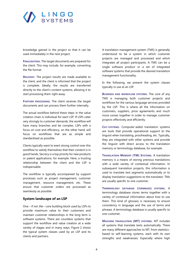

knowledge gained in the project so that it can be used immediately in the next project.

**FINALISATION.** The target documents are prepared for the client. This may include, for example, converting the file format.

**DELIVERY.** The project results are made available to the client, and the client is informed that the project is complete. Ideally, the results are transferred directly to the client's content systems, allowing it to start processing them right away.

**FURTHER PROCESSING.** The client receives the target documents and can process them further internally.

The actual workflow behind these steps in the value creation chain is individual for each LSP. If LSPs cater very strongly to customer demands, the workflow will have many branches and be complex. LSPs with a focus on cost and efficiency, on the other hand, will focus on workflows that are as simple and standardised as possible.

Clients typically want to exert strong control over this workflow to satisfy themselves that their content is in good hands. Secrecy is a top priority for new products or patent applications, for example. Here, a trusting relationship between the client and the LSP is indispensable.

The workflow is typically accompanied by support processes such as project management, customer management, resource management, etc. These ensure that customer orders are processed as seamlessly as possible.

#### **System landscape of an LSP**

One – if not  $the$  – core building block used by LSPs to provide maximum value to their customers and maintain customer relationships in the long term is software systems. There are countless systems that support the workflow and value creation at a wide variety of stages and in many ways. Figure 2 shows the typical system classes used by an LSP and its clients and partners.

A translation management system (TMS) is generally understood to be a system in which customer projects are managed and processed and which integrates all project participants. A TMS can be a single software product or a set of integrated software systems that provide the desired translation management functionality.

In the following, we present the system classes typically in use at an LSP.

**BUSINESS AND WORKFLOW SYSTEMS.** The core of any TMS is managing both customer projects and workflows for the various language services provided by the LSP. This is where all the information on customers, suppliers, price agreements and much more comes together in order to manage customer projects effectively and efficiently.

**CAT-SYSTEMS.** Computer-aided translation systems are tools that provide operational support to the linguist when translating, proofreading, etc. Typically, they are integrated with other systems and provide the linguist with direct access to the translation memory or terminology database, for example.

**TRANSLATION MEMORY (TM) SYSTEMS.** A translation memory is a means of storing previous translations with a wide variety of contextual information. In subsequent translation projects, this information is used to translate text segments automatically or to display translation suggestions to the translator. TMs are usually specific to one customer.

**TERMINOLOGY DATABASE (TERMBASE) SYSTEMS.** A terminology database stores terms together with a variety of contextual information about how to use them. This kind of glossary is necessary to ensure consistency in language and the use of terms and phrases. A terminology database is usually specific to one customer.

**MACHINE TRANSLATION (MT) SYSTEMS.** MT includes all systems that translate texts automatically. There are many different approaches to MT, from statisticsbased to self-learning systems, each with its own strengths and weaknesses. Especially where high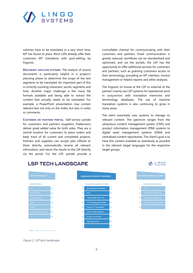

volumes have to be translated in a very short time, MT has found its place. Most LSPs already offer their customers MT translation with post-editing by linguists.

**DOCUMENT ANALYSIS SYSTEMS.** The analysis of source documents is particularly helpful in a project's planning phase to determine the scope of the text segments to be translated. An important part of this is correctly counting characters, words, segments and lines. Another major challenge is the many file formats available and being able to extract the content that actually needs to be translated. For example, a PowerPoint presentation may contain relevant text not only on the slides, but also in notes or comments.

**CUSTOMER OR PARTNER PORTAL.** Self-service portals for customers and partners (suppliers, freelancers) deliver great added value for both sides. They are a central location for customers to place orders and keep track of all current and completed projects. Partners and suppliers can accept jobs offered to them directly, automatically receive all relevant information, and return the results to the LSP directly via the portal. For the LSP, portals provide a

controllable channel for communicating with their customers and partners. Email communication is greatly reduced, workflows can be standardised and optimised, and via the portals, the LSP has the opportunity to offer additional services for customers and partners, such as granting customers access to their terminology, providing an MT interface, invoice management or helpful reports and other analyses.

The linguists (in-house at the LSP or external at the partner) mainly use CAT systems for operational work in conjunction with translation memories and terminology databases. The use of machine translation systems is also continuing to grow in many areas.

The client essentially uses systems to manage its relevant content. The spectrum ranges from the ubiquitous content management system (CMS) and product information management (PIM) systems to digital asset management systems (DAM) and centralised content repositories. The client's goal is to have this content available as seamlessly as possible in the relevant target languages for the respective target groups.

**BELNGO** 



### **LSP TECH LANDSCAPE**

Figure 2: LSP tech landscape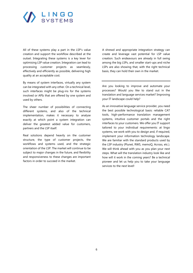

All of these systems play a part in the LSP's value creation and support the workflow described at the outset. Integrating these systems is a key lever for optimising LSP value creation. Integration can lead to processing customer projects as seamlessly, effectively and efficiently as possible, delivering high quality at an acceptable cost.

By means of system interfaces, virtually any system can be integrated with any other. On a technical level, such interfaces might be plug-ins for the systems involved or APIs that are offered by one system and used by others.

The sheer number of possibilities of connecting different systems, and also of the technical implementation, makes it necessary to analyse exactly at which point a system integration can deliver the greatest added value for customers, partners and the LSP itself.

Real solutions depend heavily on the customer structure, the type of customer projects, the workflows and systems used, and the strategic orientation of the LSP. The market will continue to be subject to major changes in the future, and flexibility and responsiveness to these changes are important factors in order to succeed in the market.

A shrewd and appropriate integration strategy can create and leverage vast potential for LSP value creation. Such endeavours are already in full swing among the big LSPs, and smaller start-ups and niche LSPs are also showing that, with the right technical basis, they can hold their own in the market.

Are you looking to improve and automate your processes? Would you like to stand out in the translation and language services market? Improving your IT landscape could help?

As an innovative language service provider, you need the best possible technological basis: reliable CAT tools, high-performance translation management systems, intuitive customer portals and the right interfaces to your customers. We offer you IT support tailored to your individual requirements: at lingo systems, we work with you to design and, if required, implement your information technology landscape. We are familiar with the standard products used by the LSP industry (Plunet, RWS, memoQ, Across, etc.). We will think ahead with you as you plan your next steps. What will the translation industry look like and how will it work in the coming years? Be a technical pioneer and let us help you to take your language services to the next level!